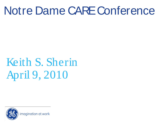### Notre Dame CARE Conference

## Keith S. Sherin April 9, 2010

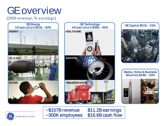### GE overview

(2009 revenue, % earnings)





~\$157B revenue \$11.2B earnings<br>~300K employees \$16.6B cash flow  $\sim$ 300K employees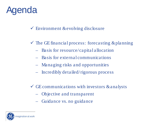#### Agenda

 $\checkmark$  Environment & evolving disclosure

- $\checkmark$  The GE financial process: forecasting & planning
	- Basis for resource/capital allocation
	- Basis for external communications
	- Managing risks and opportunities
	- Incredibly detailed/rigorous process
- $\checkmark$  GE communications with investors & analysts
	- Objective and transparent
	- Guidance vs. no guidance

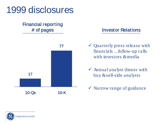

### Financial reporting



#### # of pages Investor Relations

- Quarterly press release with financials … follow-up calls with investors & media
- Annual analyst dinner with buy & sell-side analysts
- $\checkmark$  Narrow range of guidance

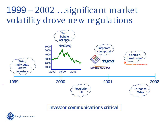#### 1999 – 2002 … significant market volatility drove new regulations



Investor communications critical

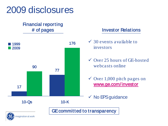

### Financial reporting



#### # of pages Investor Relations

- $\checkmark$  30 events available to investors
- Over 25 hours of GE-hosted webcasts online
- $\checkmark$  Over 1,000 pitch pages on www.ge.com/investor
- $\checkmark$  No EPS guidance

GE committed to transparency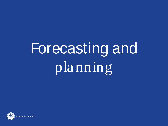# Forecasting and planning

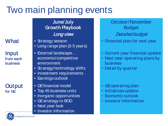### Two main planning events

**What** 

Input from each business

#### **Output** for GE

June/July Growth Playbook

- Strategy session • Long range plan (3-5 years)
- External landscape... economic/competitive environment
- Strategy/technology shifts
- Investment requirements
- Earnings outlook
- GE financial model
- Top 45 business units
- Inorganic opportunities
- GE strategy to BOD
- Next year look
- Investor information

#### October/November Budget **Long view Detailed budget**

- Financial plan for next year
- Current year financial update
- Next year operating plans by business
- Detail by quarter
- GE operating plan
- Initiatives update
- Economic outlook
- Investor information

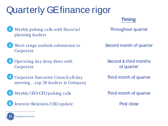### Quarterly GE finance rigor

#### **Timing**

- Weekly pulsing calls with financial planning leaders 1
- Short range outlook submission to Corporate 2
- Operating day deep dives with Corporate 3
- Corporate Executive Council all-day meeting … top 30 leaders in Company 4
- Weekly CEO/CFO pulsing calls 5
- 6 Investor Relations/CEO update

Throughout quarter

Second month of quarter

Second & third months of quarter

Third month of quarter

Third month of quarter

Post close

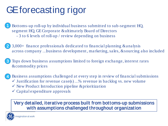### GE forecasting rigor

Bottoms-up roll-up by individual business submitted to sub-segment HQ, segment HQ, GE Corporate & ultimately Board of Directors - 3 to 6 levels of roll-up / review depending on business 1

3,000+ finance professionals dedicated to financial planning & analysis across company … business development , marketing, sales, & sourcing also included 2

Tops down business assumptions limited to foreign exchange, interest rates & commodity prices 3

Business assumptions challenged at every step in review of financial submissions 4

- $\checkmark$  Justification for revenue case(s)...% revenue in backlog vs. new volume
- $\checkmark$  New Product Introduction pipeline & prioritization
- $\checkmark$  Capital expenditure approvals

Very detailed, iterative process built from bottoms-up submissions with assumptions challenged throughout organization

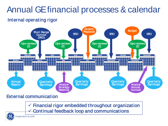#### Annual GE financial processes & calendar

#### Internal operating rigor



#### External communication

 Financial rigor embedded throughout organization Continual feedback loop and communications

imagination at work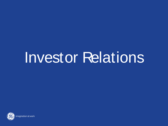# Investor Relations

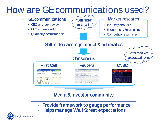### How are GE communications used?



#### Media & investor community

 $\checkmark$  Provide framework to gauge performance  $\checkmark$  Helps manage Wall Street expectations

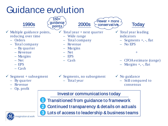### Guidance evolution

imagination at work

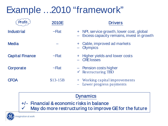### Example … 2010 "framework"

|                        | 2010E        | <b>Drivers</b>                                                                         |
|------------------------|--------------|----------------------------------------------------------------------------------------|
| <b>Industrial</b>      | $~\sim$ Flat | + NPI, service growth, lower cost, global<br>Excess capacity remains, invest in growth |
| <b>Media</b>           |              | + Cable, improved ad markets<br>- Olympics                                             |
| <b>Capital Finance</b> | $\sim$ Flat  | + Higher yields and lower costs<br>- CRE losses                                        |
| Corporate              | $\sim$ Flat  | - Pension costs higher<br>$\checkmark$ Restructuring TBD                               |
| <b>CFOA</b>            | $$13-15B$    | + Working capital improvements<br>Lower progress payments                              |

#### **Dynamics**

- +/- Financial & economic risks in balance
- $\checkmark$  May do more restructuring to improve GE for the future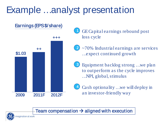#### Example ...analyst presentation



GE Capital earnings rebound post loss cycle 1

~70% Industrial earnings are services … expect continued growth 2

- Equipment backlog strong … we plan to outperform as the cycle improves … NPI, global, stimulus 3
- Cash optionality … we will deploy in an investor-friendly way 4

Team compensation  $\rightarrow$  aligned with execution

magination at work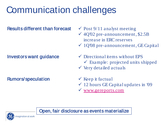### Communication challenges

#### Results different than forecast

#### Investors want guidance

Rumors/speculation

 $\checkmark$  Post 9/11 analyst meeting

- $\checkmark$  4Q'02 pre-announcement, \$2.5B increase in ERC reserves
- $\checkmark$  1Q'08 pre-announcement, GE Capital
- $\checkmark$  Directional items without EPS  $\checkmark$  Example: projected units shipped  $\checkmark$  Very detailed actuals
- $\checkmark$  Keep it factual
- $\checkmark$  12 hours GE Capital updates in '09
- [www.gereports.com](http://www.gereports.com/)

Open, fair disclosure as events materialize